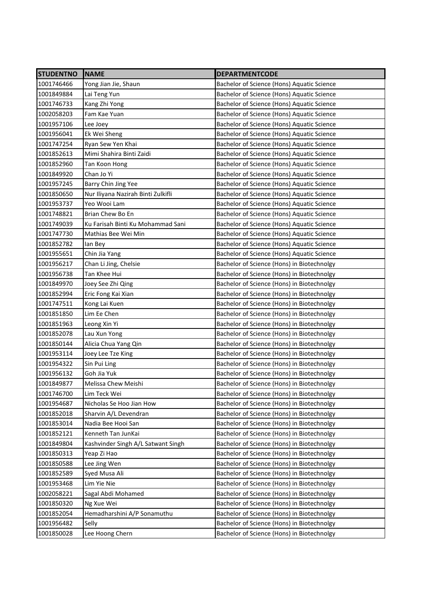| <b>STUDENTNO</b> | <b>NAME</b>                        | <b>DEPARTMENTCODE</b>                      |
|------------------|------------------------------------|--------------------------------------------|
| 1001746466       | Yong Jian Jie, Shaun               | Bachelor of Science (Hons) Aquatic Science |
| 1001849884       | Lai Teng Yun                       | Bachelor of Science (Hons) Aquatic Science |
| 1001746733       | Kang Zhi Yong                      | Bachelor of Science (Hons) Aquatic Science |
| 1002058203       | Fam Kae Yuan                       | Bachelor of Science (Hons) Aquatic Science |
| 1001957106       | Lee Joey                           | Bachelor of Science (Hons) Aquatic Science |
| 1001956041       | Ek Wei Sheng                       | Bachelor of Science (Hons) Aquatic Science |
| 1001747254       | Ryan Sew Yen Khai                  | Bachelor of Science (Hons) Aquatic Science |
| 1001852613       | Mimi Shahira Binti Zaidi           | Bachelor of Science (Hons) Aquatic Science |
| 1001852960       | Tan Koon Hong                      | Bachelor of Science (Hons) Aquatic Science |
| 1001849920       | Chan Jo Yi                         | Bachelor of Science (Hons) Aquatic Science |
| 1001957245       | Barry Chin Jing Yee                | Bachelor of Science (Hons) Aquatic Science |
| 1001850650       | Nur Iliyana Nazirah Binti Zulkifli | Bachelor of Science (Hons) Aquatic Science |
| 1001953737       | Yeo Wooi Lam                       | Bachelor of Science (Hons) Aquatic Science |
| 1001748821       | Brian Chew Bo En                   | Bachelor of Science (Hons) Aquatic Science |
| 1001749039       | Ku Farisah Binti Ku Mohammad Sani  | Bachelor of Science (Hons) Aquatic Science |
| 1001747730       | Mathias Bee Wei Min                | Bachelor of Science (Hons) Aquatic Science |
| 1001852782       | lan Bey                            | Bachelor of Science (Hons) Aquatic Science |
| 1001955651       | Chin Jia Yang                      | Bachelor of Science (Hons) Aquatic Science |
| 1001956217       | Chan Li Jing, Chelsie              | Bachelor of Science (Hons) in Biotechnolgy |
| 1001956738       | Tan Khee Hui                       | Bachelor of Science (Hons) in Biotechnolgy |
| 1001849970       | Joey See Zhi Qing                  | Bachelor of Science (Hons) in Biotechnolgy |
| 1001852994       | Eric Fong Kai Xian                 | Bachelor of Science (Hons) in Biotechnolgy |
| 1001747511       | Kong Lai Kuen                      | Bachelor of Science (Hons) in Biotechnolgy |
| 1001851850       | Lim Ee Chen                        | Bachelor of Science (Hons) in Biotechnolgy |
| 1001851963       | Leong Xin Yi                       | Bachelor of Science (Hons) in Biotechnolgy |
| 1001852078       | Lau Xun Yong                       | Bachelor of Science (Hons) in Biotechnolgy |
| 1001850144       | Alicia Chua Yang Qin               | Bachelor of Science (Hons) in Biotechnolgy |
| 1001953114       | Joey Lee Tze King                  | Bachelor of Science (Hons) in Biotechnolgy |
| 1001954322       | Sin Pui Ling                       | Bachelor of Science (Hons) in Biotechnolgy |
| 1001956132       | Goh Jia Yuk                        | Bachelor of Science (Hons) in Biotechnolgy |
| 1001849877       | Melissa Chew Meishi                | Bachelor of Science (Hons) in Biotechnolgy |
| 1001746700       | Lim Teck Wei                       | Bachelor of Science (Hons) in Biotechnolgy |
| 1001954687       | Nicholas Se Hoo Jian How           | Bachelor of Science (Hons) in Biotechnolgy |
| 1001852018       | Sharvin A/L Devendran              | Bachelor of Science (Hons) in Biotechnolgy |
| 1001853014       | Nadia Bee Hooi San                 | Bachelor of Science (Hons) in Biotechnolgy |
| 1001852121       | Kenneth Tan JunKai                 | Bachelor of Science (Hons) in Biotechnolgy |
| 1001849804       | Kashvinder Singh A/L Satwant Singh | Bachelor of Science (Hons) in Biotechnolgy |
| 1001850313       | Yeap Zi Hao                        | Bachelor of Science (Hons) in Biotechnolgy |
| 1001850588       | Lee Jing Wen                       | Bachelor of Science (Hons) in Biotechnolgy |
| 1001852589       | Syed Musa Ali                      | Bachelor of Science (Hons) in Biotechnolgy |
| 1001953468       | Lim Yie Nie                        | Bachelor of Science (Hons) in Biotechnolgy |
| 1002058221       | Sagal Abdi Mohamed                 | Bachelor of Science (Hons) in Biotechnolgy |
| 1001850320       | Ng Xue Wei                         | Bachelor of Science (Hons) in Biotechnolgy |
| 1001852054       | Hemadharshini A/P Sonamuthu        | Bachelor of Science (Hons) in Biotechnolgy |
| 1001956482       | Selly                              | Bachelor of Science (Hons) in Biotechnolgy |
| 1001850028       | Lee Hoong Chern                    | Bachelor of Science (Hons) in Biotechnolgy |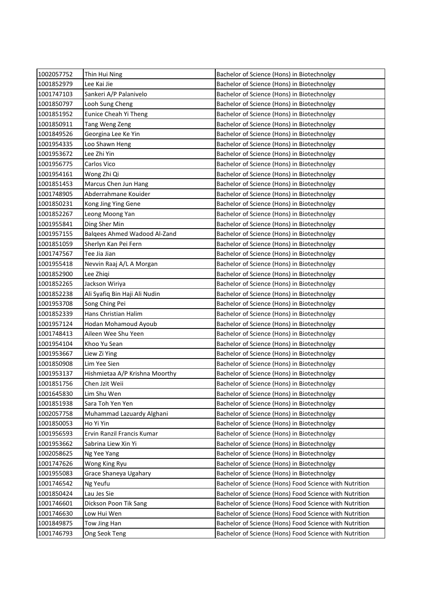| 1002057752 | Thin Hui Ning                  | Bachelor of Science (Hons) in Biotechnolgy             |
|------------|--------------------------------|--------------------------------------------------------|
| 1001852979 | Lee Kai Jie                    | Bachelor of Science (Hons) in Biotechnolgy             |
| 1001747103 | Sankeri A/P Palanivelo         | Bachelor of Science (Hons) in Biotechnolgy             |
| 1001850797 | Looh Sung Cheng                | Bachelor of Science (Hons) in Biotechnolgy             |
| 1001851952 | Eunice Cheah Yi Theng          | Bachelor of Science (Hons) in Biotechnolgy             |
| 1001850911 | Tang Weng Zeng                 | Bachelor of Science (Hons) in Biotechnolgy             |
| 1001849526 | Georgina Lee Ke Yin            | Bachelor of Science (Hons) in Biotechnolgy             |
| 1001954335 | Loo Shawn Heng                 | Bachelor of Science (Hons) in Biotechnolgy             |
| 1001953672 | Lee Zhi Yin                    | Bachelor of Science (Hons) in Biotechnolgy             |
| 1001956775 | Carlos Vico                    | Bachelor of Science (Hons) in Biotechnolgy             |
| 1001954161 | Wong Zhi Qi                    | Bachelor of Science (Hons) in Biotechnolgy             |
| 1001851453 | Marcus Chen Jun Hang           | Bachelor of Science (Hons) in Biotechnolgy             |
| 1001748905 | Abderrahmane Kouider           | Bachelor of Science (Hons) in Biotechnolgy             |
| 1001850231 | Kong Jing Ying Gene            | Bachelor of Science (Hons) in Biotechnolgy             |
| 1001852267 | Leong Moong Yan                | Bachelor of Science (Hons) in Biotechnolgy             |
| 1001955841 | Ding Sher Min                  | Bachelor of Science (Hons) in Biotechnolgy             |
| 1001957155 | Balqees Ahmed Wadood Al-Zand   | Bachelor of Science (Hons) in Biotechnolgy             |
| 1001851059 | Sherlyn Kan Pei Fern           | Bachelor of Science (Hons) in Biotechnolgy             |
| 1001747567 | Tee Jia Jian                   | Bachelor of Science (Hons) in Biotechnolgy             |
| 1001955418 | Nevvin Raaj A/L A Morgan       | Bachelor of Science (Hons) in Biotechnolgy             |
| 1001852900 | Lee Zhiqi                      | Bachelor of Science (Hons) in Biotechnolgy             |
| 1001852265 | Jackson Wiriya                 | Bachelor of Science (Hons) in Biotechnolgy             |
| 1001852238 | Ali Syafiq Bin Haji Ali Nudin  | Bachelor of Science (Hons) in Biotechnolgy             |
| 1001953708 | Song Ching Pei                 | Bachelor of Science (Hons) in Biotechnolgy             |
| 1001852339 | Hans Christian Halim           | Bachelor of Science (Hons) in Biotechnolgy             |
| 1001957124 | Hodan Mohamoud Ayoub           | Bachelor of Science (Hons) in Biotechnolgy             |
| 1001748413 | Aileen Wee Shu Yeen            | Bachelor of Science (Hons) in Biotechnolgy             |
| 1001954104 | Khoo Yu Sean                   | Bachelor of Science (Hons) in Biotechnolgy             |
| 1001953667 | Liew Zi Ying                   | Bachelor of Science (Hons) in Biotechnolgy             |
| 1001850908 | Lim Yee Sien                   | Bachelor of Science (Hons) in Biotechnolgy             |
| 1001953137 | Hishmietaa A/P Krishna Moorthy | Bachelor of Science (Hons) in Biotechnolgy             |
| 1001851756 | Chen Jzit Weii                 | Bachelor of Science (Hons) in Biotechnolgy             |
| 1001645830 | Lim Shu Wen                    | Bachelor of Science (Hons) in Biotechnolgy             |
| 1001851938 | Sara Toh Yen Yen               | Bachelor of Science (Hons) in Biotechnolgy             |
| 1002057758 | Muhammad Lazuardy Alghani      | Bachelor of Science (Hons) in Biotechnolgy             |
| 1001850053 | Ho Yi Yin                      | Bachelor of Science (Hons) in Biotechnolgy             |
| 1001956593 | Ervin Ranzil Francis Kumar     | Bachelor of Science (Hons) in Biotechnolgy             |
| 1001953662 | Sabrina Liew Xin Yi            | Bachelor of Science (Hons) in Biotechnolgy             |
| 1002058625 | Ng Yee Yang                    | Bachelor of Science (Hons) in Biotechnolgy             |
| 1001747626 | Wong King Ryu                  | Bachelor of Science (Hons) in Biotechnolgy             |
| 1001955083 | Grace Shaneya Ugahary          | Bachelor of Science (Hons) in Biotechnolgy             |
| 1001746542 | Ng Yeufu                       | Bachelor of Science (Hons) Food Science with Nutrition |
| 1001850424 | Lau Jes Sie                    | Bachelor of Science (Hons) Food Science with Nutrition |
| 1001746601 | Dickson Poon Tik Sang          | Bachelor of Science (Hons) Food Science with Nutrition |
| 1001746630 | Low Hui Wen                    | Bachelor of Science (Hons) Food Science with Nutrition |
| 1001849875 | Tow Jing Han                   | Bachelor of Science (Hons) Food Science with Nutrition |
| 1001746793 | Ong Seok Teng                  | Bachelor of Science (Hons) Food Science with Nutrition |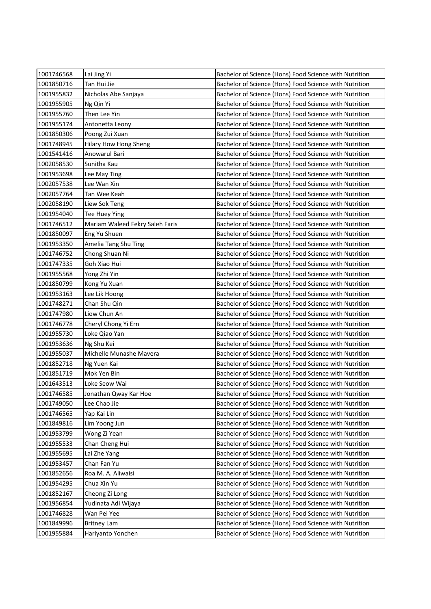| 1001746568 | Lai Jing Yi                     | Bachelor of Science (Hons) Food Science with Nutrition |
|------------|---------------------------------|--------------------------------------------------------|
| 1001850716 | Tan Hui Jie                     | Bachelor of Science (Hons) Food Science with Nutrition |
| 1001955832 | Nicholas Abe Sanjaya            | Bachelor of Science (Hons) Food Science with Nutrition |
| 1001955905 | Ng Qin Yi                       | Bachelor of Science (Hons) Food Science with Nutrition |
| 1001955760 | Then Lee Yin                    | Bachelor of Science (Hons) Food Science with Nutrition |
| 1001955174 | Antonetta Leony                 | Bachelor of Science (Hons) Food Science with Nutrition |
| 1001850306 | Poong Zui Xuan                  | Bachelor of Science (Hons) Food Science with Nutrition |
| 1001748945 | <b>Hilary How Hong Sheng</b>    | Bachelor of Science (Hons) Food Science with Nutrition |
| 1001541416 | Anowarul Bari                   | Bachelor of Science (Hons) Food Science with Nutrition |
| 1002058530 | Sunitha Kau                     | Bachelor of Science (Hons) Food Science with Nutrition |
| 1001953698 | Lee May Ting                    | Bachelor of Science (Hons) Food Science with Nutrition |
| 1002057538 | Lee Wan Xin                     | Bachelor of Science (Hons) Food Science with Nutrition |
| 1002057764 | Tan Wee Keah                    | Bachelor of Science (Hons) Food Science with Nutrition |
| 1002058190 | Liew Sok Teng                   | Bachelor of Science (Hons) Food Science with Nutrition |
| 1001954040 | Tee Huey Ying                   | Bachelor of Science (Hons) Food Science with Nutrition |
| 1001746512 | Mariam Waleed Fekry Saleh Faris | Bachelor of Science (Hons) Food Science with Nutrition |
| 1001850097 | Eng Yu Shuen                    | Bachelor of Science (Hons) Food Science with Nutrition |
| 1001953350 | Amelia Tang Shu Ting            | Bachelor of Science (Hons) Food Science with Nutrition |
| 1001746752 | Chong Shuan Ni                  | Bachelor of Science (Hons) Food Science with Nutrition |
| 1001747335 | Goh Xiao Hui                    | Bachelor of Science (Hons) Food Science with Nutrition |
| 1001955568 | Yong Zhi Yin                    | Bachelor of Science (Hons) Food Science with Nutrition |
| 1001850799 | Kong Yu Xuan                    | Bachelor of Science (Hons) Food Science with Nutrition |
| 1001953163 | Lee Lik Hoong                   | Bachelor of Science (Hons) Food Science with Nutrition |
| 1001748271 | Chan Shu Qin                    | Bachelor of Science (Hons) Food Science with Nutrition |
| 1001747980 | Liow Chun An                    | Bachelor of Science (Hons) Food Science with Nutrition |
| 1001746778 | Cheryl Chong Yi Ern             | Bachelor of Science (Hons) Food Science with Nutrition |
| 1001955730 | Loke Qiao Yan                   | Bachelor of Science (Hons) Food Science with Nutrition |
| 1001953636 | Ng Shu Kei                      | Bachelor of Science (Hons) Food Science with Nutrition |
| 1001955037 | Michelle Munashe Mavera         | Bachelor of Science (Hons) Food Science with Nutrition |
| 1001852718 | Ng Yuen Kai                     | Bachelor of Science (Hons) Food Science with Nutrition |
| 1001851719 | Mok Yen Bin                     | Bachelor of Science (Hons) Food Science with Nutrition |
| 1001643513 | Loke Seow Wai                   | Bachelor of Science (Hons) Food Science with Nutrition |
| 1001746585 | Jonathan Qway Kar Hoe           | Bachelor of Science (Hons) Food Science with Nutrition |
| 1001749050 | Lee Chao Jie                    | Bachelor of Science (Hons) Food Science with Nutrition |
| 1001746565 | Yap Kai Lin                     | Bachelor of Science (Hons) Food Science with Nutrition |
| 1001849816 | Lim Yoong Jun                   | Bachelor of Science (Hons) Food Science with Nutrition |
| 1001953799 | Wong Zi Yean                    | Bachelor of Science (Hons) Food Science with Nutrition |
| 1001955533 | Chan Cheng Hui                  | Bachelor of Science (Hons) Food Science with Nutrition |
| 1001955695 | Lai Zhe Yang                    | Bachelor of Science (Hons) Food Science with Nutrition |
| 1001953457 | Chan Fan Yu                     | Bachelor of Science (Hons) Food Science with Nutrition |
| 1001852656 | Roa M. A. Aliwaisi              | Bachelor of Science (Hons) Food Science with Nutrition |
| 1001954295 | Chua Xin Yu                     | Bachelor of Science (Hons) Food Science with Nutrition |
| 1001852167 | Cheong Zi Long                  | Bachelor of Science (Hons) Food Science with Nutrition |
| 1001956854 | Yudinata Adi Wijaya             | Bachelor of Science (Hons) Food Science with Nutrition |
| 1001746828 | Wan Pei Yee                     | Bachelor of Science (Hons) Food Science with Nutrition |
| 1001849996 | <b>Britney Lam</b>              | Bachelor of Science (Hons) Food Science with Nutrition |
| 1001955884 | Hariyanto Yonchen               | Bachelor of Science (Hons) Food Science with Nutrition |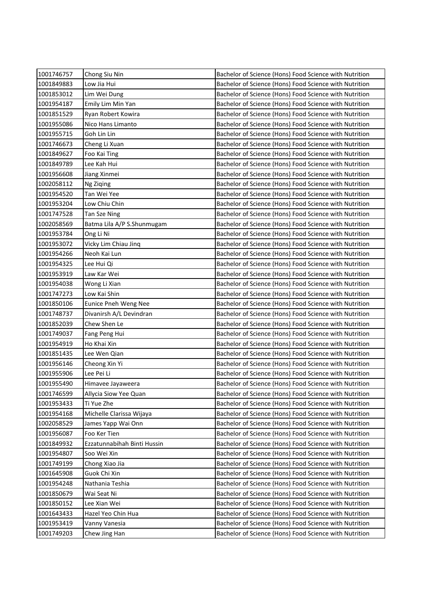| 1001746757 | Chong Siu Nin               | Bachelor of Science (Hons) Food Science with Nutrition |
|------------|-----------------------------|--------------------------------------------------------|
| 1001849883 | Low Jia Hui                 | Bachelor of Science (Hons) Food Science with Nutrition |
| 1001853012 | Lim Wei Dung                | Bachelor of Science (Hons) Food Science with Nutrition |
| 1001954187 | Emily Lim Min Yan           | Bachelor of Science (Hons) Food Science with Nutrition |
| 1001851529 | Ryan Robert Kowira          | Bachelor of Science (Hons) Food Science with Nutrition |
| 1001955086 | Nico Hans Limanto           | Bachelor of Science (Hons) Food Science with Nutrition |
| 1001955715 | Goh Lin Lin                 | Bachelor of Science (Hons) Food Science with Nutrition |
| 1001746673 | Cheng Li Xuan               | Bachelor of Science (Hons) Food Science with Nutrition |
| 1001849627 | Foo Kai Ting                | Bachelor of Science (Hons) Food Science with Nutrition |
| 1001849789 | Lee Kah Hui                 | Bachelor of Science (Hons) Food Science with Nutrition |
| 1001956608 | Jiang Xinmei                | Bachelor of Science (Hons) Food Science with Nutrition |
| 1002058112 | Ng Ziqing                   | Bachelor of Science (Hons) Food Science with Nutrition |
| 1001954520 | Tan Wei Yee                 | Bachelor of Science (Hons) Food Science with Nutrition |
| 1001953204 | Low Chiu Chin               | Bachelor of Science (Hons) Food Science with Nutrition |
| 1001747528 | Tan Sze Ning                | Bachelor of Science (Hons) Food Science with Nutrition |
| 1002058569 | Batma Lila A/P S.Shunmugam  | Bachelor of Science (Hons) Food Science with Nutrition |
| 1001953784 | Ong Li Ni                   | Bachelor of Science (Hons) Food Science with Nutrition |
| 1001953072 | Vicky Lim Chiau Jinq        | Bachelor of Science (Hons) Food Science with Nutrition |
| 1001954266 | Neoh Kai Lun                | Bachelor of Science (Hons) Food Science with Nutrition |
| 1001954325 | Lee Hui Qi                  | Bachelor of Science (Hons) Food Science with Nutrition |
| 1001953919 | Law Kar Wei                 | Bachelor of Science (Hons) Food Science with Nutrition |
| 1001954038 | Wong Li Xian                | Bachelor of Science (Hons) Food Science with Nutrition |
| 1001747273 | Low Kai Shin                | Bachelor of Science (Hons) Food Science with Nutrition |
| 1001850106 | Eunice Pneh Weng Nee        | Bachelor of Science (Hons) Food Science with Nutrition |
| 1001748737 | Divanirsh A/L Devindran     | Bachelor of Science (Hons) Food Science with Nutrition |
| 1001852039 | Chew Shen Le                | Bachelor of Science (Hons) Food Science with Nutrition |
| 1001749037 | Fang Peng Hui               | Bachelor of Science (Hons) Food Science with Nutrition |
| 1001954919 | Ho Khai Xin                 | Bachelor of Science (Hons) Food Science with Nutrition |
| 1001851435 | Lee Wen Qian                | Bachelor of Science (Hons) Food Science with Nutrition |
| 1001956146 | Cheong Xin Yi               | Bachelor of Science (Hons) Food Science with Nutrition |
| 1001955906 | Lee Pei Li                  | Bachelor of Science (Hons) Food Science with Nutrition |
| 1001955490 | Himavee Jayaweera           | Bachelor of Science (Hons) Food Science with Nutrition |
| 1001746599 | Allycia Siow Yee Quan       | Bachelor of Science (Hons) Food Science with Nutrition |
| 1001953433 | Ti Yue Zhe                  | Bachelor of Science (Hons) Food Science with Nutrition |
| 1001954168 | Michelle Clarissa Wijaya    | Bachelor of Science (Hons) Food Science with Nutrition |
| 1002058529 | James Yapp Wai Onn          | Bachelor of Science (Hons) Food Science with Nutrition |
| 1001956087 | Foo Ker Tien                | Bachelor of Science (Hons) Food Science with Nutrition |
| 1001849932 | Ezzatunnabihah Binti Hussin | Bachelor of Science (Hons) Food Science with Nutrition |
| 1001954807 | Soo Wei Xin                 | Bachelor of Science (Hons) Food Science with Nutrition |
| 1001749199 | Chong Xiao Jia              | Bachelor of Science (Hons) Food Science with Nutrition |
| 1001645908 | Guok Chi Xin                | Bachelor of Science (Hons) Food Science with Nutrition |
| 1001954248 | Nathania Teshia             | Bachelor of Science (Hons) Food Science with Nutrition |
| 1001850679 | Wai Seat Ni                 | Bachelor of Science (Hons) Food Science with Nutrition |
| 1001850152 | Lee Xian Wei                | Bachelor of Science (Hons) Food Science with Nutrition |
| 1001643433 | Hazel Yeo Chin Hua          | Bachelor of Science (Hons) Food Science with Nutrition |
| 1001953419 | Vanny Vanesia               | Bachelor of Science (Hons) Food Science with Nutrition |
| 1001749203 | Chew Jing Han               | Bachelor of Science (Hons) Food Science with Nutrition |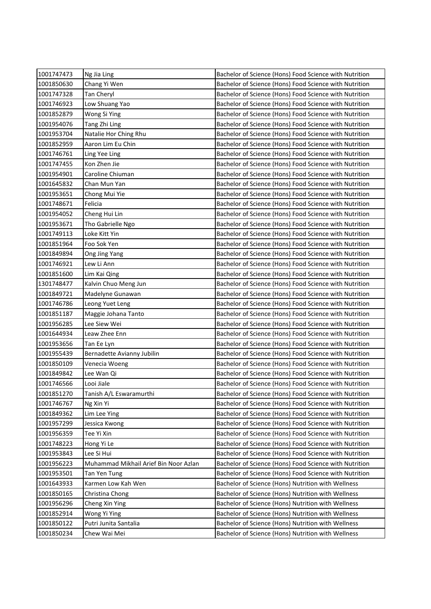| 1001747473 | Ng Jia Ling                           | Bachelor of Science (Hons) Food Science with Nutrition |
|------------|---------------------------------------|--------------------------------------------------------|
| 1001850630 | Chang Yi Wen                          | Bachelor of Science (Hons) Food Science with Nutrition |
| 1001747328 | Tan Cheryl                            | Bachelor of Science (Hons) Food Science with Nutrition |
| 1001746923 | Low Shuang Yao                        | Bachelor of Science (Hons) Food Science with Nutrition |
| 1001852879 | Wong Si Ying                          | Bachelor of Science (Hons) Food Science with Nutrition |
| 1001954076 | Tang Zhi Ling                         | Bachelor of Science (Hons) Food Science with Nutrition |
| 1001953704 | Natalie Hor Ching Rhu                 | Bachelor of Science (Hons) Food Science with Nutrition |
| 1001852959 | Aaron Lim Eu Chin                     | Bachelor of Science (Hons) Food Science with Nutrition |
| 1001746761 | Ling Yee Ling                         | Bachelor of Science (Hons) Food Science with Nutrition |
| 1001747455 | Kon Zhen Jie                          | Bachelor of Science (Hons) Food Science with Nutrition |
| 1001954901 | Caroline Chiuman                      | Bachelor of Science (Hons) Food Science with Nutrition |
| 1001645832 | Chan Mun Yan                          | Bachelor of Science (Hons) Food Science with Nutrition |
| 1001953651 | Chong Mui Yie                         | Bachelor of Science (Hons) Food Science with Nutrition |
| 1001748671 | Felicia                               | Bachelor of Science (Hons) Food Science with Nutrition |
| 1001954052 | Cheng Hui Lin                         | Bachelor of Science (Hons) Food Science with Nutrition |
| 1001953671 | Tho Gabrielle Ngo                     | Bachelor of Science (Hons) Food Science with Nutrition |
| 1001749113 | Loke Kitt Yin                         | Bachelor of Science (Hons) Food Science with Nutrition |
| 1001851964 | Foo Sok Yen                           | Bachelor of Science (Hons) Food Science with Nutrition |
| 1001849894 | Ong Jing Yang                         | Bachelor of Science (Hons) Food Science with Nutrition |
| 1001746921 | Lew Li Ann                            | Bachelor of Science (Hons) Food Science with Nutrition |
| 1001851600 | Lim Kai Qing                          | Bachelor of Science (Hons) Food Science with Nutrition |
| 1301748477 | Kalvin Chuo Meng Jun                  | Bachelor of Science (Hons) Food Science with Nutrition |
| 1001849721 | Madelyne Gunawan                      | Bachelor of Science (Hons) Food Science with Nutrition |
| 1001746786 | Leong Yuet Leng                       | Bachelor of Science (Hons) Food Science with Nutrition |
| 1001851187 | Maggie Johana Tanto                   | Bachelor of Science (Hons) Food Science with Nutrition |
| 1001956285 | Lee Siew Wei                          | Bachelor of Science (Hons) Food Science with Nutrition |
| 1001644934 | Leaw Zhee Enn                         | Bachelor of Science (Hons) Food Science with Nutrition |
| 1001953656 | Tan Ee Lyn                            | Bachelor of Science (Hons) Food Science with Nutrition |
| 1001955439 | Bernadette Avianny Jubilin            | Bachelor of Science (Hons) Food Science with Nutrition |
| 1001850109 | Venecia Woeng                         | Bachelor of Science (Hons) Food Science with Nutrition |
| 1001849842 | Lee Wan Qi                            | Bachelor of Science (Hons) Food Science with Nutrition |
| 1001746566 | Looi Jiale                            | Bachelor of Science (Hons) Food Science with Nutrition |
| 1001851270 | Tanish A/L Eswaramurthi               | Bachelor of Science (Hons) Food Science with Nutrition |
| 1001746767 | Ng Xin Yi                             | Bachelor of Science (Hons) Food Science with Nutrition |
| 1001849362 | Lim Lee Ying                          | Bachelor of Science (Hons) Food Science with Nutrition |
| 1001957299 | Jessica Kwong                         | Bachelor of Science (Hons) Food Science with Nutrition |
| 1001956359 | Tee Yi Xin                            | Bachelor of Science (Hons) Food Science with Nutrition |
| 1001748223 | Hong Yi Le                            | Bachelor of Science (Hons) Food Science with Nutrition |
| 1001953843 | Lee Si Hui                            | Bachelor of Science (Hons) Food Science with Nutrition |
| 1001956223 | Muhammad Mikhail Arief Bin Noor Azlan | Bachelor of Science (Hons) Food Science with Nutrition |
| 1001953501 | Tan Yen Tung                          | Bachelor of Science (Hons) Food Science with Nutrition |
| 1001643933 | Karmen Low Kah Wen                    | Bachelor of Science (Hons) Nutrition with Wellness     |
| 1001850165 | Christina Chong                       | Bachelor of Science (Hons) Nutrition with Wellness     |
| 1001956296 | Cheng Xin Ying                        | Bachelor of Science (Hons) Nutrition with Wellness     |
| 1001852914 | Wong Yi Ying                          | Bachelor of Science (Hons) Nutrition with Wellness     |
| 1001850122 | Putri Junita Santalia                 | Bachelor of Science (Hons) Nutrition with Wellness     |
| 1001850234 | Chew Wai Mei                          | Bachelor of Science (Hons) Nutrition with Wellness     |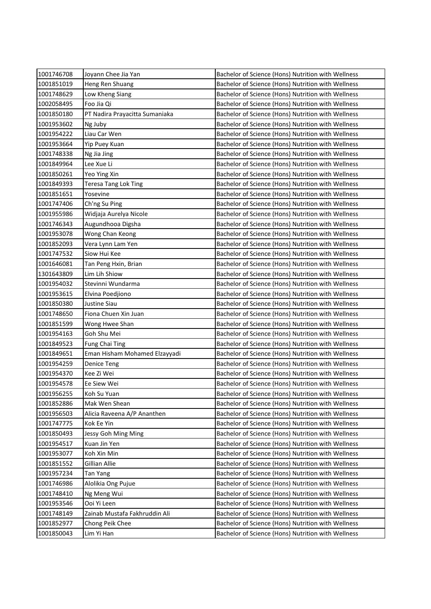| 1001746708 | Joyann Chee Jia Yan            | Bachelor of Science (Hons) Nutrition with Wellness |
|------------|--------------------------------|----------------------------------------------------|
| 1001851019 | Heng Ren Shuang                | Bachelor of Science (Hons) Nutrition with Wellness |
| 1001748629 | Low Kheng Siang                | Bachelor of Science (Hons) Nutrition with Wellness |
| 1002058495 | Foo Jia Qi                     | Bachelor of Science (Hons) Nutrition with Wellness |
| 1001850180 | PT Nadira Prayacitta Sumaniaka | Bachelor of Science (Hons) Nutrition with Wellness |
| 1001953602 | Ng Juby                        | Bachelor of Science (Hons) Nutrition with Wellness |
| 1001954222 | Liau Car Wen                   | Bachelor of Science (Hons) Nutrition with Wellness |
| 1001953664 | Yip Puey Kuan                  | Bachelor of Science (Hons) Nutrition with Wellness |
| 1001748338 | Ng Jia Jing                    | Bachelor of Science (Hons) Nutrition with Wellness |
| 1001849964 | Lee Xue Li                     | Bachelor of Science (Hons) Nutrition with Wellness |
| 1001850261 | Yeo Ying Xin                   | Bachelor of Science (Hons) Nutrition with Wellness |
| 1001849393 | Teresa Tang Lok Ting           | Bachelor of Science (Hons) Nutrition with Wellness |
| 1001851651 | Yosevine                       | Bachelor of Science (Hons) Nutrition with Wellness |
| 1001747406 | Ch'ng Su Ping                  | Bachelor of Science (Hons) Nutrition with Wellness |
| 1001955986 | Widjaja Aurelya Nicole         | Bachelor of Science (Hons) Nutrition with Wellness |
| 1001746343 | Augundhooa Digsha              | Bachelor of Science (Hons) Nutrition with Wellness |
| 1001953078 | Wong Chan Keong                | Bachelor of Science (Hons) Nutrition with Wellness |
| 1001852093 | Vera Lynn Lam Yen              | Bachelor of Science (Hons) Nutrition with Wellness |
| 1001747532 | Siow Hui Kee                   | Bachelor of Science (Hons) Nutrition with Wellness |
| 1001646081 | Tan Peng Hxin, Brian           | Bachelor of Science (Hons) Nutrition with Wellness |
| 1301643809 | Lim Lih Shiow                  | Bachelor of Science (Hons) Nutrition with Wellness |
| 1001954032 | Stevinni Wundarma              | Bachelor of Science (Hons) Nutrition with Wellness |
| 1001953615 | Elvina Poedjiono               | Bachelor of Science (Hons) Nutrition with Wellness |
| 1001850380 | Justine Siau                   | Bachelor of Science (Hons) Nutrition with Wellness |
| 1001748650 | Fiona Chuen Xin Juan           | Bachelor of Science (Hons) Nutrition with Wellness |
| 1001851599 | Wong Hwee Shan                 | Bachelor of Science (Hons) Nutrition with Wellness |
| 1001954163 | Goh Shu Mei                    | Bachelor of Science (Hons) Nutrition with Wellness |
| 1001849523 | Fung Chai Ting                 | Bachelor of Science (Hons) Nutrition with Wellness |
| 1001849651 | Eman Hisham Mohamed Elzayyadi  | Bachelor of Science (Hons) Nutrition with Wellness |
| 1001954259 | <b>Denice Teng</b>             | Bachelor of Science (Hons) Nutrition with Wellness |
| 1001954370 | Kee Zi Wei                     | Bachelor of Science (Hons) Nutrition with Wellness |
| 1001954578 | Ee Siew Wei                    | Bachelor of Science (Hons) Nutrition with Wellness |
| 1001956255 | Koh Su Yuan                    | Bachelor of Science (Hons) Nutrition with Wellness |
| 1001852886 | Mak Wen Shean                  | Bachelor of Science (Hons) Nutrition with Wellness |
| 1001956503 | Alicia Raveena A/P Ananthen    | Bachelor of Science (Hons) Nutrition with Wellness |
| 1001747775 | Kok Ee Yin                     | Bachelor of Science (Hons) Nutrition with Wellness |
| 1001850493 | Jessy Goh Ming Ming            | Bachelor of Science (Hons) Nutrition with Wellness |
| 1001954517 | Kuan Jin Yen                   | Bachelor of Science (Hons) Nutrition with Wellness |
| 1001953077 | Koh Xin Min                    | Bachelor of Science (Hons) Nutrition with Wellness |
| 1001851552 | Gillian Allie                  | Bachelor of Science (Hons) Nutrition with Wellness |
| 1001957234 | Tan Yang                       | Bachelor of Science (Hons) Nutrition with Wellness |
| 1001746986 | Alolikia Ong Pujue             | Bachelor of Science (Hons) Nutrition with Wellness |
| 1001748410 | Ng Meng Wui                    | Bachelor of Science (Hons) Nutrition with Wellness |
| 1001953546 | Ooi Yi Leen                    | Bachelor of Science (Hons) Nutrition with Wellness |
| 1001748149 | Zainab Mustafa Fakhruddin Ali  | Bachelor of Science (Hons) Nutrition with Wellness |
| 1001852977 | Chong Peik Chee                | Bachelor of Science (Hons) Nutrition with Wellness |
| 1001850043 | Lim Yi Han                     | Bachelor of Science (Hons) Nutrition with Wellness |